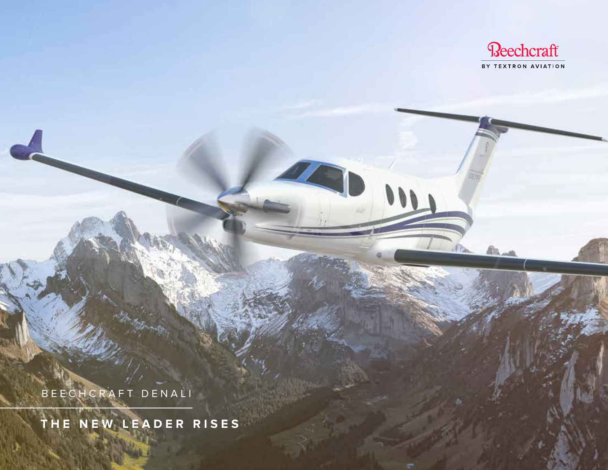

**BLAR** 

BEECHCRAFT DENALI

**THE NEW LEADER RISES**